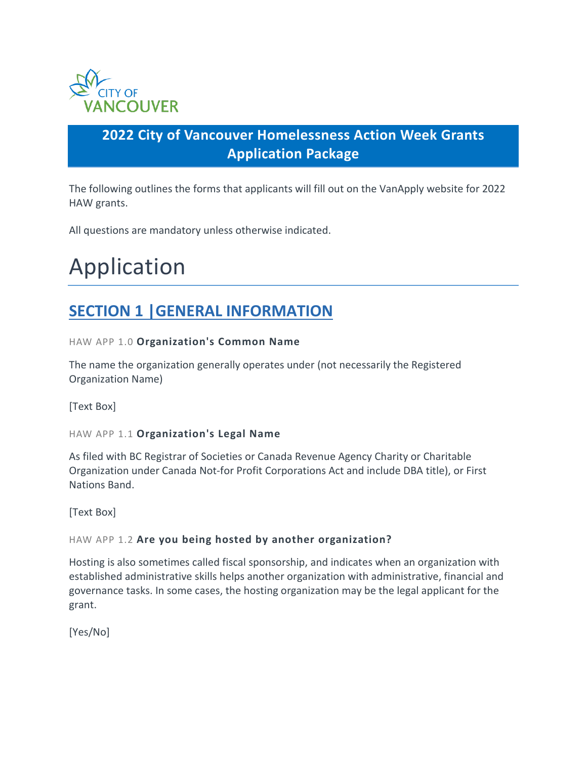

# **2022 City of Vancouver Homelessness Action Week Grants Application Package**

The following outlines the forms that applicants will fill out on the VanApply website for 2022 HAW grants.

All questions are mandatory unless otherwise indicated.

# Application

# **SECTION 1 |GENERAL INFORMATION**

## HAW APP 1.0 **Organization's Common Name**

The name the organization generally operates under (not necessarily the Registered Organization Name)

[Text Box]

## HAW APP 1.1 **Organization's Legal Name**

As filed with BC Registrar of Societies or Canada Revenue Agency Charity or Charitable Organization under Canada Not-for Profit Corporations Act and include DBA title), or First Nations Band.

[Text Box]

## HAW APP 1.2 **Are you being hosted by another organization?**

Hosting is also sometimes called fiscal sponsorship, and indicates when an organization with established administrative skills helps another organization with administrative, financial and governance tasks. In some cases, the hosting organization may be the legal applicant for the grant.

[Yes/No]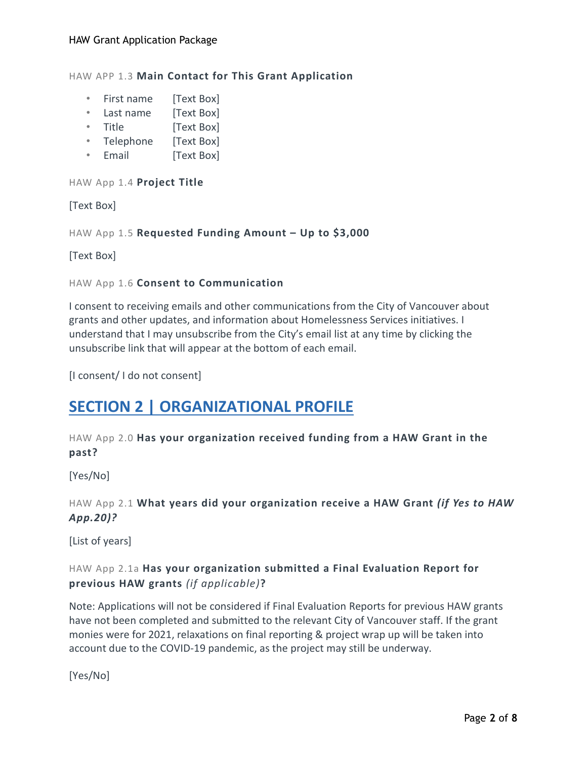HAW APP 1.3 **Main Contact for This Grant Application** 

- First name [Text Box]
- Last name [Text Box]
- Title [Text Box]
- Telephone [Text Box]
- Email [Text Box]

HAW App 1.4 **Project Title**

[Text Box]

HAW App 1.5 **Requested Funding Amount – Up to \$3,000**

[Text Box]

## HAW App 1.6 **Consent to Communication**

I consent to receiving emails and other communications from the City of Vancouver about grants and other updates, and information about Homelessness Services initiatives. I understand that I may unsubscribe from the City's email list at any time by clicking the unsubscribe link that will appear at the bottom of each email.

[I consent/ I do not consent]

# **SECTION 2 | ORGANIZATIONAL PROFILE**

HAW App 2.0 **Has your organization received funding from a HAW Grant in the past?**

[Yes/No]

HAW App 2.1 **What years did your organization receive a HAW Grant** *(if Yes to HAW App.20)?*

[List of years]

# HAW App 2.1a **Has your organization submitted a Final Evaluation Report for previous HAW grants** *(if applicable)***?**

Note: Applications will not be considered if Final Evaluation Reports for previous HAW grants have not been completed and submitted to the relevant City of Vancouver staff. If the grant monies were for 2021, relaxations on final reporting & project wrap up will be taken into account due to the COVID-19 pandemic, as the project may still be underway.

[Yes/No]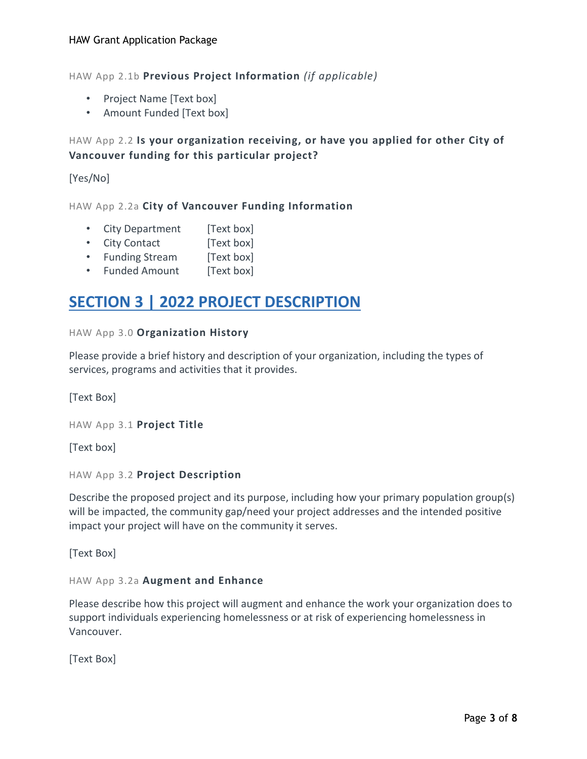HAW App 2.1b **Previous Project Information** *(if applicable)*

- Project Name [Text box]
- Amount Funded [Text box]

# HAW App 2.2 **Is your organization receiving, or have you applied for other City of Vancouver funding for this particular project?**

[Yes/No]

HAW App 2.2a **City of Vancouver Funding Information**

- City Department [Text box]
- City Contact [Text box]
- Funding Stream [Text box]
- Funded Amount [Text box]

# **SECTION 3 | 2022 PROJECT DESCRIPTION**

## HAW App 3.0 **Organization History**

Please provide a brief history and description of your organization, including the types of services, programs and activities that it provides.

[Text Box]

HAW App 3.1 **Project Title**

[Text box]

HAW App 3.2 **Project Description**

Describe the proposed project and its purpose, including how your primary population group(s) will be impacted, the community gap/need your project addresses and the intended positive impact your project will have on the community it serves.

[Text Box]

## HAW App 3.2a **Augment and Enhance**

Please describe how this project will augment and enhance the work your organization does to support individuals experiencing homelessness or at risk of experiencing homelessness in Vancouver.

[Text Box]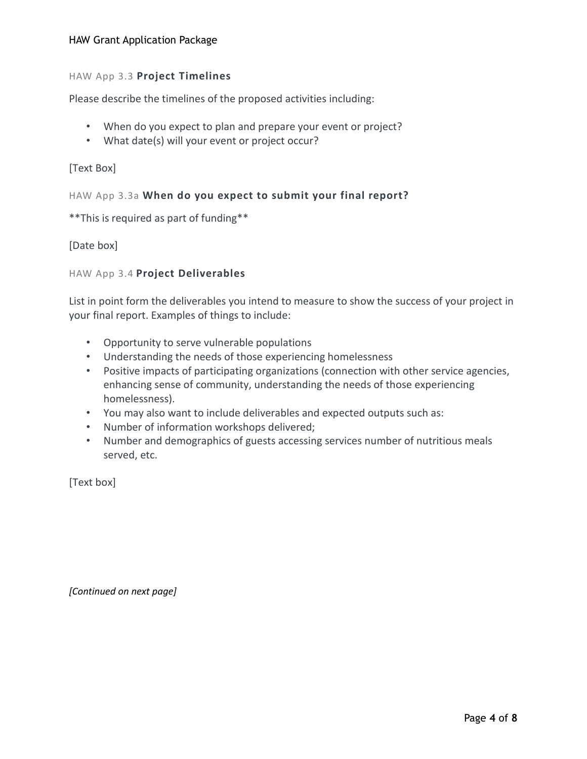## HAW Grant Application Package

## HAW App 3.3 **Project Timelines**

Please describe the timelines of the proposed activities including:

- When do you expect to plan and prepare your event or project?
- What date(s) will your event or project occur?

## [Text Box]

## HAW App 3.3a **When do you expect to submit your final report?**

\*\*This is required as part of funding\*\*

## [Date box]

## HAW App 3.4 **Project Deliverables**

List in point form the deliverables you intend to measure to show the success of your project in your final report. Examples of things to include:

- Opportunity to serve vulnerable populations
- Understanding the needs of those experiencing homelessness
- Positive impacts of participating organizations (connection with other service agencies, enhancing sense of community, understanding the needs of those experiencing homelessness).
- You may also want to include deliverables and expected outputs such as:
- Number of information workshops delivered;
- Number and demographics of guests accessing services number of nutritious meals served, etc.

[Text box]

*[Continued on next page]*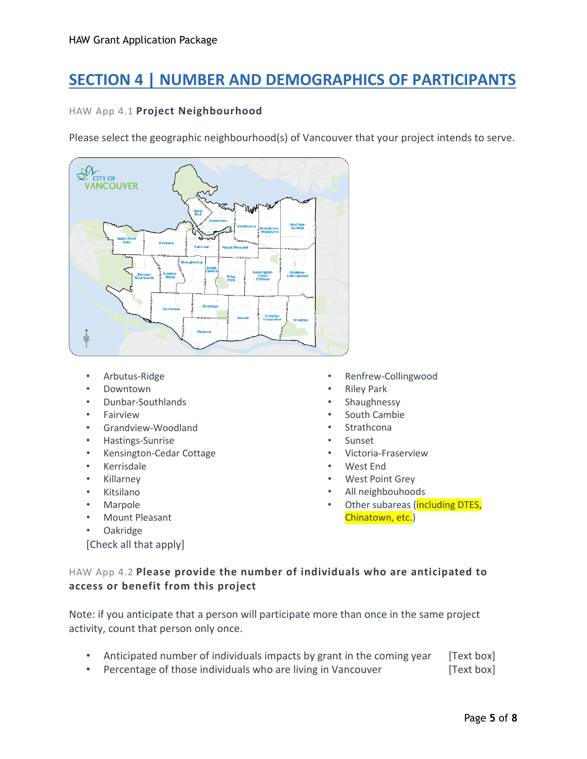# **SECTION 4 | NUMBER AND DEMOGRAPHICS OF PARTICIPANTS**

## HAW App 4.1 **Project Neighbourhood**

Please select the geographic neighbourhood(s) of Vancouver that your project intends to serve.



- Arbutus-Ridge
- Downtown
- Dunbar-Southlands
- **Fairview**
- Grandview-Woodland
- Hastings-Sunrise
- Kensington-Cedar Cottage
- Kerrisdale
- Killarney
- Kitsilano
- Marpole
- Mount Pleasant
- Oakridge

[Check all that apply]

- Renfrew-Collingwood
- **Riley Park**
- **Shaughnessy**
- South Cambie
- **Strathcona**
- **Sunset**
- Victoria-Fraserview
- West End
- West Point Grey
- All neighbouhoods
- Other subareas (including DTES, Chinatown, etc.)

# HAW App 4.2 **Please provide the number of individuals who are anticipated to access or benefit from this project**

Note: if you anticipate that a person will participate more than once in the same project activity, count that person only once.

- Anticipated number of individuals impacts by grant in the coming year [Text box]
- Percentage of those individuals who are living in Vancouver [Text box]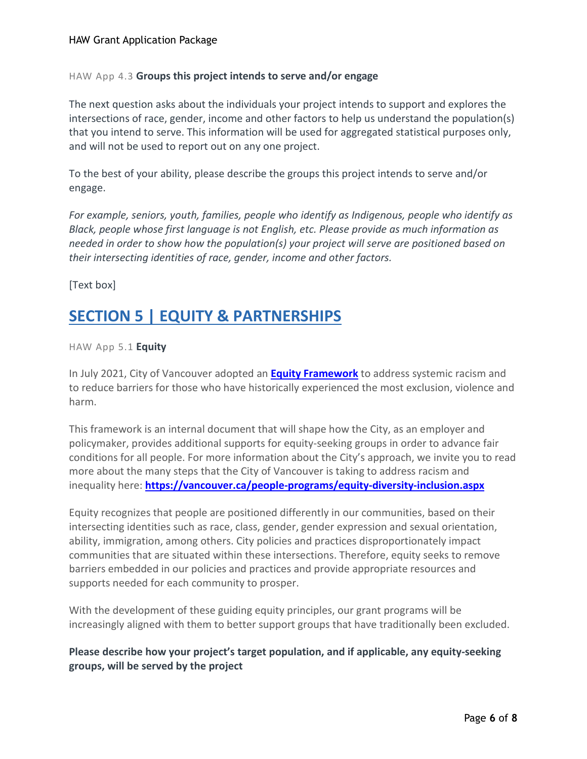#### HAW App 4.3 **Groups this project intends to serve and/or engage**

The next question asks about the individuals your project intends to support and explores the intersections of race, gender, income and other factors to help us understand the population(s) that you intend to serve. This information will be used for aggregated statistical purposes only, and will not be used to report out on any one project.

To the best of your ability, please describe the groups this project intends to serve and/or engage.

*For example, seniors, youth, families, people who identify as Indigenous, people who identify as Black, people whose first language is not English, etc. Please provide as much information as needed in order to show how the population(s) your project will serve are positioned based on their intersecting identities of race, gender, income and other factors.*

[Text box]

# **SECTION 5 | EQUITY & PARTNERSHIPS**

HAW App 5.1 **Equity**

In July 2021, City of Vancouver adopted an **Equity [Framework](https://council.vancouver.ca/20210720/documents/p1.pdf)** to address systemic racism and to reduce barriers for those who have historically experienced the most exclusion, violence and harm.

This framework is an internal document that will shape how the City, as an employer and policymaker, provides additional supports for equity-seeking groups in order to advance fair conditions for all people. For more information about the City's approach, we invite you to read more about the many steps that the City of Vancouver is taking to address racism and inequality here: **<https://vancouver.ca/people-programs/equity-diversity-inclusion.aspx>**

Equity recognizes that people are positioned differently in our communities, based on their intersecting identities such as race, class, gender, gender expression and sexual orientation, ability, immigration, among others. City policies and practices disproportionately impact communities that are situated within these intersections. Therefore, equity seeks to remove barriers embedded in our policies and practices and provide appropriate resources and supports needed for each community to prosper.

With the development of these guiding equity principles, our grant programs will be increasingly aligned with them to better support groups that have traditionally been excluded.

**Please describe how your project's target population, and if applicable, any equity-seeking groups, will be served by the project**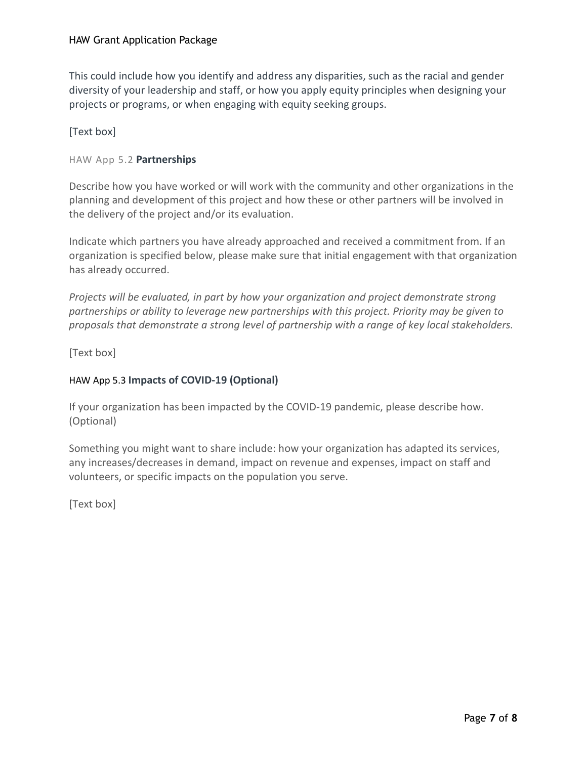This could include how you identify and address any disparities, such as the racial and gender diversity of your leadership and staff, or how you apply equity principles when designing your projects or programs, or when engaging with equity seeking groups.

# [Text box]

# HAW App 5.2 **Partnerships**

Describe how you have worked or will work with the community and other organizations in the planning and development of this project and how these or other partners will be involved in the delivery of the project and/or its evaluation.

Indicate which partners you have already approached and received a commitment from. If an organization is specified below, please make sure that initial engagement with that organization has already occurred.

*Projects will be evaluated, in part by how your organization and project demonstrate strong partnerships or ability to leverage new partnerships with this project. Priority may be given to proposals that demonstrate a strong level of partnership with a range of key local stakeholders.*

[Text box]

# HAW App 5.3 **Impacts of COVID-19 (Optional)**

If your organization has been impacted by the COVID-19 pandemic, please describe how. (Optional)

Something you might want to share include: how your organization has adapted its services, any increases/decreases in demand, impact on revenue and expenses, impact on staff and volunteers, or specific impacts on the population you serve.

[Text box]